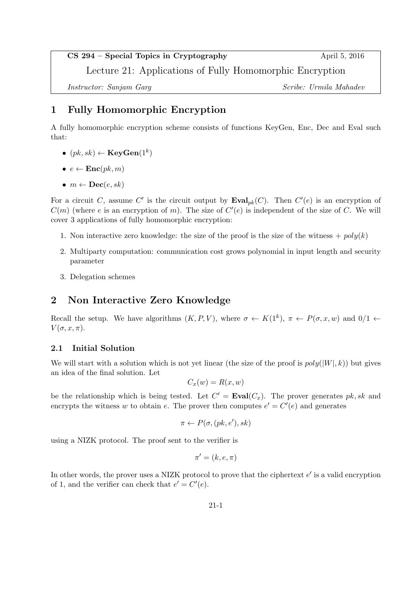## CS 294 – Special Topics in Cryptography April 5, 2016

Lecture 21: Applications of Fully Homomorphic Encryption

Instructor: Sanjam Garg Scribe: Urmila Mahadev

# 1 Fully Homomorphic Encryption

A fully homomorphic encryption scheme consists of functions KeyGen, Enc, Dec and Eval such that:

- $\bullet \ \left( pk, sk \right) \leftarrow \mathbf{KeyGen}(1^k)$
- $e \leftarrow \text{Enc}(pk, m)$
- $m \leftarrow \textbf{Dec}(e, sk)$

For a circuit C, assume C' is the circuit output by  $\mathbf{Eval}_{pk}(C)$ . Then  $C'(e)$  is an encryption of  $C(m)$  (where e is an encryption of m). The size of  $C'(e)$  is independent of the size of C. We will cover 3 applications of fully homomorphic encryption:

- 1. Non interactive zero knowledge: the size of the proof is the size of the witness  $+ \text{poly}(k)$
- 2. Multiparty computation: communication cost grows polynomial in input length and security parameter
- 3. Delegation schemes

## 2 Non Interactive Zero Knowledge

Recall the setup. We have algorithms  $(K, P, V)$ , where  $\sigma \leftarrow K(1^k)$ ,  $\pi \leftarrow P(\sigma, x, w)$  and  $0/1 \leftarrow$  $V(\sigma, x, \pi)$ .

## 2.1 Initial Solution

We will start with a solution which is not yet linear (the size of the proof is  $poly(|W|, k)$ ) but gives an idea of the final solution. Let

$$
C_x(w) = R(x, w)
$$

be the relationship which is being tested. Let  $C' = \text{Eval}(C_x)$ . The prover generates pk, sk and encrypts the witness w to obtain e. The prover then computes  $e' = C'(e)$  and generates

$$
\pi \leftarrow P(\sigma, (pk, e'), sk)
$$

using a NIZK protocol. The proof sent to the verifier is

$$
\pi' = (k, e, \pi)
$$

In other words, the prover uses a NIZK protocol to prove that the ciphertext  $e'$  is a valid encryption of 1, and the verifier can check that  $e' = C'(e)$ .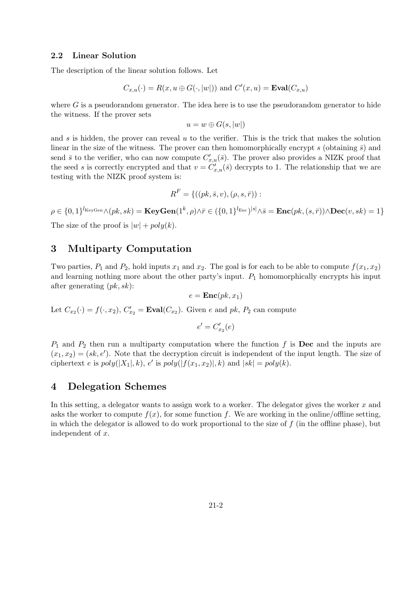### 2.2 Linear Solution

The description of the linear solution follows. Let

$$
C_{x,u}(\cdot) = R(x, u \oplus G(\cdot, |w|))
$$
 and  $C'(x, u) = \text{Eval}(C_{x,u})$ 

where  $G$  is a pseudorandom generator. The idea here is to use the pseudorandom generator to hide the witness. If the prover sets

$$
u = w \oplus G(s, |w|)
$$

and s is hidden, the prover can reveal  $u$  to the verifier. This is the trick that makes the solution linear in the size of the witness. The prover can then homomorphically encrypt s (obtaining  $\bar{s}$ ) and send  $\bar{s}$  to the verifier, who can now compute  $C'_{x,u}(\bar{s})$ . The prover also provides a NIZK proof that the seed s is correctly encrypted and that  $v = C'_{x,u}(\bar{s})$  decrypts to 1. The relationship that we are testing with the NIZK proof system is:

$$
R^{F} = \{((pk, \bar{s}, v), (\rho, s, \bar{r})):
$$

 $\rho \in \{0,1\}^{l_{\text{KeyGen}}} \wedge (pk,sk) = \textbf{KeyGen}(1^k,\rho) \wedge \bar{r} \in (\{0,1\}^{l_{\text{Enc}}})^{|s|} \wedge \bar{s} = \textbf{Enc}(pk, (s,\bar{r})) \wedge \textbf{Dec}(v,sk) = 1\}$ The size of the proof is  $|w| + poly(k)$ .

## 3 Multiparty Computation

Two parties,  $P_1$  and  $P_2$ , hold inputs  $x_1$  and  $x_2$ . The goal is for each to be able to compute  $f(x_1, x_2)$ and learning nothing more about the other party's input.  $P_1$  homomorphically encrypts his input after generating  $(pk, sk)$ :

$$
e = \mathbf{Enc}(pk, x_1)
$$

Let  $C_{x_2}(\cdot) = f(\cdot, x_2)$ ,  $C'_{x_2} = \text{Eval}(C_{x_2})$ . Given e and pk,  $P_2$  can compute

$$
e' = C_{x_2}'(e)
$$

 $P_1$  and  $P_2$  then run a multiparty computation where the function f is **Dec** and the inputs are  $(x_1, x_2) = (sk, e')$ . Note that the decryption circuit is independent of the input length. The size of ciphertext e is  $poly(|X_1|, k)$ , e' is  $poly(|f(x_1, x_2)|, k)$  and  $|sk| = poly(k)$ .

## 4 Delegation Schemes

In this setting, a delegator wants to assign work to a worker. The delegator gives the worker  $x$  and asks the worker to compute  $f(x)$ , for some function f. We are working in the online/offline setting, in which the delegator is allowed to do work proportional to the size of  $f$  (in the offline phase), but independent of x.